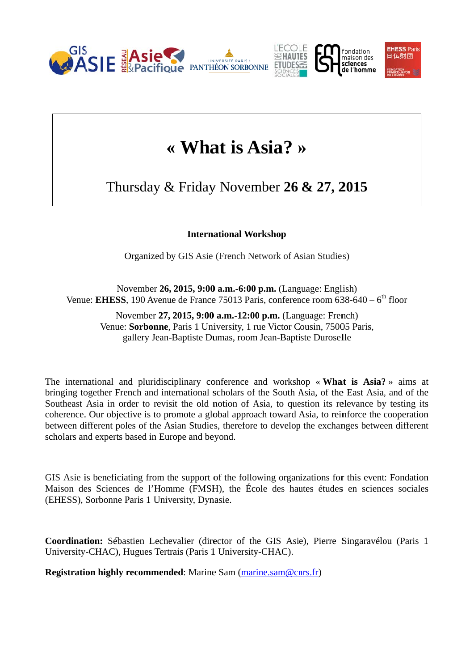

## « What is Asia? »

Thursday & Friday November  $26 \& 27$ , 2015

## **International Workshop**

Organized by GIS Asie (French Network of Asian Studies)

November 26, 2015, 9:00 a.m.-6:00 p.m. (Language: English) Venue: EHESS, 190 Avenue de France 75013 Paris, conference room  $638-640-6^{\text{th}}$  floor

November 27, 2015, 9:00 a.m.-12:00 p.m. (Language: French) Venue: Sorbonne, Paris 1 University, 1 rue Victor Cousin, 75005 Paris, gallery Jean-Baptiste Dumas, room Jean-Baptiste Duroselle

The international and pluridisciplinary conference and workshop « What is Asia? » aims at bringing together French and international scholars of the South Asia, of the East Asia, and of the Southeast Asia in order to revisit the old notion of Asia, to question its relevance by testing its coherence. Our objective is to promote a global approach toward Asia, to reinforce the cooperation between different poles of the Asian Studies, therefore to develop the exchanges between different scholars and experts based in Europe and beyond.

GIS Asie is beneficiating from the support of the following organizations for this event: Fondation Maison des Sciences de l'Homme (FMSH), the École des hautes études en sciences sociales (EHESS), Sorbonne Paris 1 University, Dynasie.

Coordination: Sébastien Lechevalier (director of the GIS Asie), Pierre Singaravélou (Paris 1 University-CHAC), Hugues Tertrais (Paris 1 University-CHAC).

**Registration highly recommended:** Marine Sam (marine.sam@cnrs.fr)